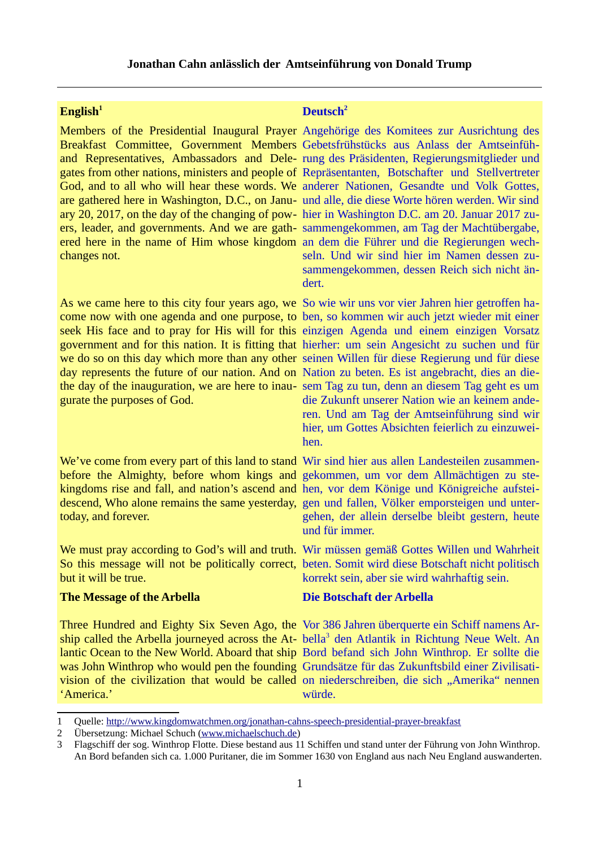#### **Jonathan Cahn anlässlich der Amtseinführung von Donald Trump**

are gathered here in Washington, D.C., on Janu-und alle, die diese Worte hören werden. Wir sind changes not.

come now with one agenda and one purpose, to ben, so kommen wir auch jetzt wieder mit einer seek His face and to pray for His will for this einzigen Agenda und einem einzigen Vorsatz government and for this nation. It is fitting that hierher: um sein Angesicht zu suchen und für we do so on this day which more than any other seinen Willen für diese Regierung und für diese day represents the future of our nation. And on Nation zu beten. Es ist angebracht, dies an diethe day of the inauguration, we are here to inau-sem Tag zu tun, denn an diesem Tag geht es um gurate the purposes of God.

We've come from every part of this land to stand Wir sind hier aus allen Landesteilen zusammenbefore the Almighty, before whom kings and gekommen, um vor dem Allmächtigen zu stekingdoms rise and fall, and nation's ascend and hen, vor dem Könige und Königreiche aufsteidescend, Who alone remains the same yesterday, gen und fallen, Völker emporsteigen und untertoday, and forever.

but it will be true.

# **The Message of the Arbella**

Three Hundred and Eighty Six Seven Ago, the Vor 386 Jahren überquerte ein Schiff namens Ar-ship called the Arbella journeyed across the At- bella<sup>[3](#page-0-2)</sup> den Atlantik in Richtung Neue Welt. An lantic Ocean to the New World. Aboard that ship Bord befand sich John Winthrop. Er sollte die was John Winthrop who would pen the founding Grundsätze für das Zukunftsbild einer Zivilisativision of the civilization that would be called on niederschreiben, die sich "Amerika" nennen 'America.'

#### **English<sup>[1](#page-0-0)</sup> <b>Deutsch**<sup>[2](#page-0-1)</sup>

Members of the Presidential Inaugural Prayer Angehörige des Komitees zur Ausrichtung des Breakfast Committee, Government Members Gebetsfrühstücks aus Anlass der Amtseinfühand Representatives, Ambassadors and Dele-rung des Präsidenten, Regierungsmitglieder und gates from other nations, ministers and people of Repräsentanten, Botschafter und Stellvertreter God, and to all who will hear these words. We anderer Nationen, Gesandte und Volk Gottes, ary 20, 2017, on the day of the changing of pow-hier in Washington D.C. am 20. Januar 2017 zuers, leader, and governments. And we are gath-sammengekommen, am Tag der Machtübergabe, ered here in the name of Him whose kingdom an dem die Führer und die Regierungen wechseln. Und wir sind hier im Namen dessen zusammengekommen, dessen Reich sich nicht ändert.

As we came here to this city four years ago, we So wie wir uns vor vier Jahren hier getroffen hadie Zukunft unserer Nation wie an keinem anderen. Und am Tag der Amtseinführung sind wir hier, um Gottes Absichten feierlich zu einzuweihen.

> gehen, der allein derselbe bleibt gestern, heute und für immer.

We must pray according to God's will and truth. Wir müssen gemäß Gottes Willen und Wahrheit So this message will not be politically correct, beten. Somit wird diese Botschaft nicht politisch korrekt sein, aber sie wird wahrhaftig sein.

### **Die Botschaft der Arbella**

würde.

<span id="page-0-0"></span><sup>1</sup> Quelle:<http://www.kingdomwatchmen.org/jonathan-cahns-speech-presidential-prayer-breakfast>

<span id="page-0-1"></span><sup>2</sup> Übersetzung: Michael Schuch [\(www.michaelschuch.de\)](http://www.michaelschuch.de/)

<span id="page-0-2"></span><sup>3</sup> Flagschiff der sog. Winthrop Flotte. Diese bestand aus 11 Schiffen und stand unter der Führung von John Winthrop. An Bord befanden sich ca. 1.000 Puritaner, die im Sommer 1630 von England aus nach Neu England auswanderten.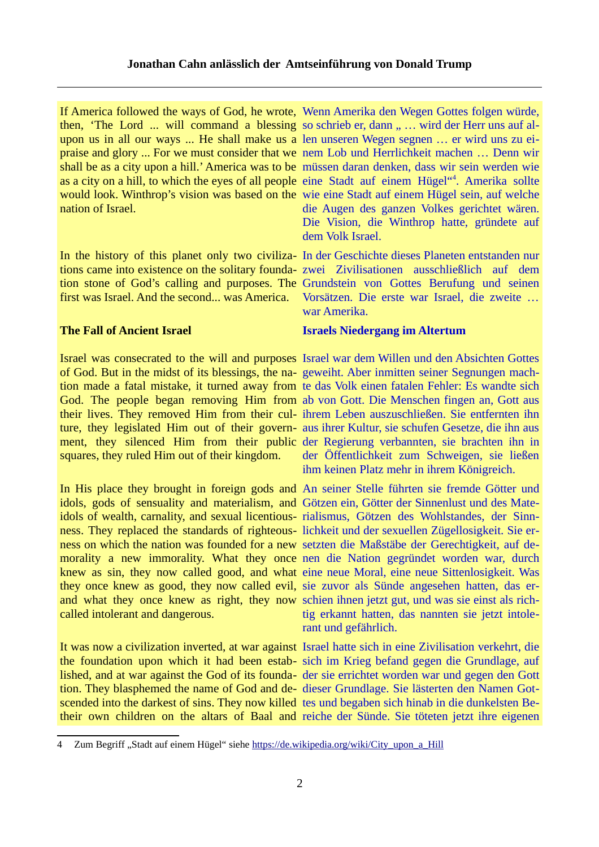If America followed the ways of God, he wrote, Wenn Amerika den Wegen Gottes folgen würde, then, 'The Lord ... will command a blessing so schrieb er, dann " ... wird der Herr uns auf alupon us in all our ways ... He shall make us a len unseren Wegen segnen … er wird uns zu eipraise and glory ... For we must consider that we nem Lob und Herrlichkeit machen … Denn wir shall be as a city upon a hill.' America was to be müssen daran denken, dass wir sein werden wie as a city on a hill, to which the eyes of all people eine Stadt auf einem Hügel"<sup>[4](#page-1-0)</sup>. Amerika sollte would look. Winthrop's vision was based on the wie eine Stadt auf einem Hügel sein, auf welche nation of Israel.

tions came into existence on the solitary founda-zwei Zivilisationen ausschließlich auf dem tion stone of God's calling and purposes. The Grundstein von Gottes Berufung und seinen first was Israel. And the second... was America.

# **The Fall of Ancient Israel**

Israel was consecrated to the will and purposes Israel war dem Willen und den Absichten Gottes of God. But in the midst of its blessings, the na-geweiht. Aber inmitten seiner Segnungen machtion made a fatal mistake, it turned away from te das Volk einen fatalen Fehler: Es wandte sich God. The people began removing Him from ab von Gott. Die Menschen fingen an, Gott aus their lives. They removed Him from their cul-ihrem Leben auszuschließen. Sie entfernten ihn ture, they legislated Him out of their govern-aus ihrer Kultur, sie schufen Gesetze, die ihn aus ment, they silenced Him from their public der Regierung verbannten, sie brachten ihn in squares, they ruled Him out of their kingdom.

In His place they brought in foreign gods and An seiner Stelle führten sie fremde Götter und idols, gods of sensuality and materialism, and Götzen ein, Götter der Sinnenlust und des Mateidols of wealth, carnality, and sexual licentious-rialismus, Götzen des Wohlstandes, der Sinnness. They replaced the standards of righteous-lichkeit und der sexuellen Zügellosigkeit. Sie erness on which the nation was founded for a new setzten die Maßstäbe der Gerechtigkeit, auf demorality a new immorality. What they once nen die Nation gegründet worden war, durch knew as sin, they now called good, and what eine neue Moral, eine neue Sittenlosigkeit. Was they once knew as good, they now called evil, sie zuvor als Sünde angesehen hatten, das erand what they once knew as right, they now schien ihnen jetzt gut, und was sie einst als richcalled intolerant and dangerous.

the foundation upon which it had been estab-sich im Krieg befand gegen die Grundlage, auf lished, and at war against the God of its founda-der sie errichtet worden war und gegen den Gott tion. They blasphemed the name of God and de-dieser Grundlage. Sie lästerten den Namen Gotscended into the darkest of sins. They now killed tes und begaben sich hinab in die dunkelsten Betheir own children on the altars of Baal and reiche der Sünde. Sie töteten jetzt ihre eigenen

die Augen des ganzen Volkes gerichtet wären. Die Vision, die Winthrop hatte, gründete auf dem Volk Israel.

In the history of this planet only two civiliza- In der Geschichte dieses Planeten entstanden nur Vorsätzen. Die erste war Israel, die zweite … war Amerika.

# **Israels Niedergang im Altertum**

der Öffentlichkeit zum Schweigen, sie ließen ihm keinen Platz mehr in ihrem Königreich.

tig erkannt hatten, das nannten sie jetzt intolerant und gefährlich.

It was now a civilization inverted, at war against Israel hatte sich in eine Zivilisation verkehrt, die

<span id="page-1-0"></span><sup>4</sup> Zum Begriff "Stadt auf einem Hügel" siehe [https://de.wikipedia.org/wiki/City\\_upon\\_a\\_Hill](https://de.wikipedia.org/wiki/City_upon_a_Hill)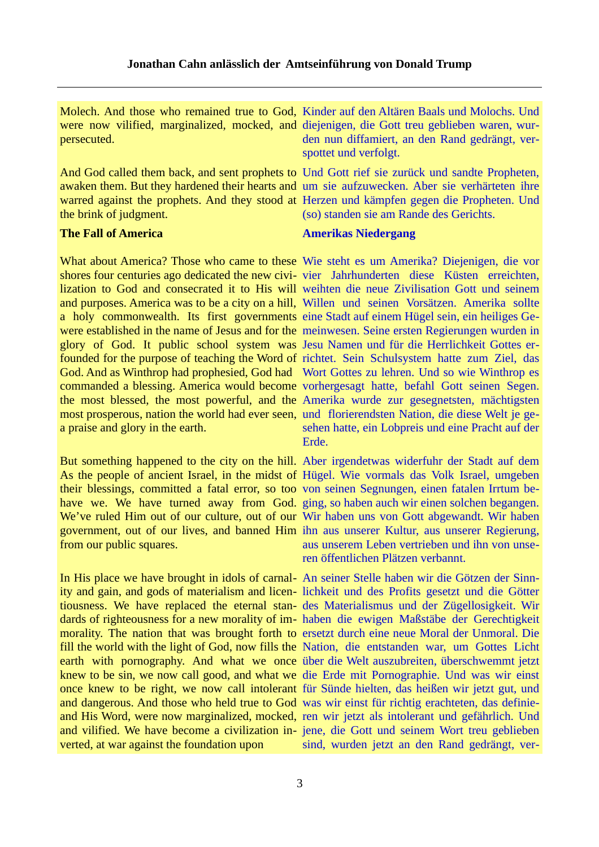Molech. And those who remained true to God, Kinder auf den Altären Baals und Molochs. Und were now vilified, marginalized, mocked, and diejenigen, die Gott treu geblieben waren, wurpersecuted. den nun diffamiert, an den Rand gedrängt, verspottet und verfolgt.

awaken them. But they hardened their hearts and um sie aufzuwecken. Aber sie verhärteten ihre warred against the prophets. And they stood at Herzen und kämpfen gegen die Propheten. Und the brink of judgment.

# **The Fall of America**

shores four centuries ago dedicated the new civi-vier Jahrhunderten diese Küsten erreichten, lization to God and consecrated it to His will weihten die neue Zivilisation Gott und seinem and purposes. America was to be a city on a hill, Willen und seinen Vorsätzen. Amerika sollte a holy commonwealth. Its first governments eine Stadt auf einem Hügel sein, ein heiliges Gewere established in the name of Jesus and for the meinwesen. Seine ersten Regierungen wurden in glory of God. It public school system was Jesu Namen und für die Herrlichkeit Gottes erfounded for the purpose of teaching the Word of richtet. Sein Schulsystem hatte zum Ziel, das God. And as Winthrop had prophesied, God had Wort Gottes zu lehren. Und so wie Winthrop es commanded a blessing. America would become vorhergesagt hatte, befahl Gott seinen Segen. the most blessed, the most powerful, and the Amerika wurde zur gesegnetsten, mächtigsten most prosperous, nation the world had ever seen, und florierendsten Nation, die diese Welt je gea praise and glory in the earth.

But something happened to the city on the hill. Aber irgendetwas widerfuhr der Stadt auf dem As the people of ancient Israel, in the midst of Hügel. Wie vormals das Volk Israel, umgeben their blessings, committed a fatal error, so too von seinen Segnungen, einen fatalen Irrtum behave we. We have turned away from God. ging, so haben auch wir einen solchen begangen. We've ruled Him out of our culture, out of our Wir haben uns von Gott abgewandt. Wir haben government, out of our lives, and banned Him ihn aus unserer Kultur, aus unserer Regierung, from our public squares.

In His place we have brought in idols of carnal-An seiner Stelle haben wir die Götzen der Sinnity and gain, and gods of materialism and licen-lichkeit und des Profits gesetzt und die Götter tiousness. We have replaced the eternal stan-des Materialismus und der Zügellosigkeit. Wir dards of righteousness for a new morality of im- haben die ewigen Maßstäbe der Gerechtigkeit morality. The nation that was brought forth to ersetzt durch eine neue Moral der Unmoral. Die fill the world with the light of God, now fills the Nation, die entstanden war, um Gottes Licht earth with pornography. And what we once über die Welt auszubreiten, überschwemmt jetzt knew to be sin, we now call good, and what we die Erde mit Pornographie. Und was wir einst once knew to be right, we now call intolerant für Sünde hielten, das heißen wir jetzt gut, und and dangerous. And those who held true to God was wir einst für richtig erachteten, das definieand His Word, were now marginalized, mocked, ren wir jetzt als intolerant und gefährlich. Und and vilified. We have become a civilization in-jene, die Gott und seinem Wort treu geblieben verted, at war against the foundation upon

And God called them back, and sent prophets to Und Gott rief sie zurück und sandte Propheten, (so) standen sie am Rande des Gerichts.

#### **Amerikas Niedergang**

What about America? Those who came to these Wie steht es um Amerika? Diejenigen, die vor sehen hatte, ein Lobpreis und eine Pracht auf der Erde.

> aus unserem Leben vertrieben und ihn von unseren öffentlichen Plätzen verbannt.

> sind, wurden jetzt an den Rand gedrängt, ver-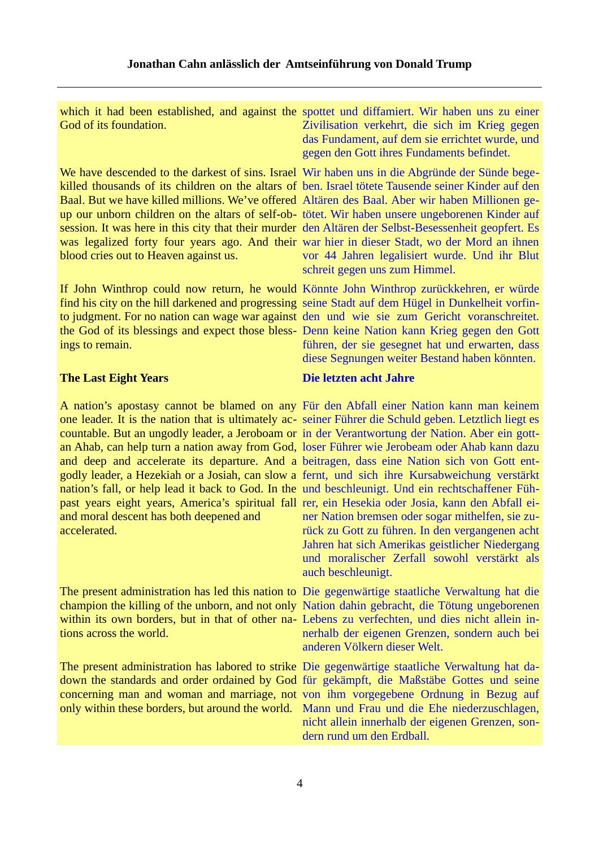God of its foundation.

We have descended to the darkest of sins. Israel Wir haben uns in die Abgründe der Sünde begekilled thousands of its children on the altars of ben. Israel tötete Tausende seiner Kinder auf den Baal. But we have killed millions. We've offered Altären des Baal. Aber wir haben Millionen geup our unborn children on the altars of self-ob-tötet. Wir haben unsere ungeborenen Kinder auf session. It was here in this city that their murder den Altären der Selbst-Besessenheit geopfert. Es was legalized forty four years ago. And their war hier in dieser Stadt, wo der Mord an ihnen blood cries out to Heaven against us.

If John Winthrop could now return, he would Könnte John Winthrop zurückkehren, er würde find his city on the hill darkened and progressing seine Stadt auf dem Hügel in Dunkelheit vorfinto judgment. For no nation can wage war against den und wie sie zum Gericht voranschreitet. the God of its blessings and expect those bless-Denn keine Nation kann Krieg gegen den Gott ings to remain.

### **The Last Eight Years**

A nation's apostasy cannot be blamed on any Für den Abfall einer Nation kann man keinem one leader. It is the nation that is ultimately ac-seiner Führer die Schuld geben. Letztlich liegt es countable. But an ungodly leader, a Jeroboam or in der Verantwortung der Nation. Aber ein gottan Ahab, can help turn a nation away from God, loser Führer wie Jerobeam oder Ahab kann dazu and deep and accelerate its departure. And a beitragen, dass eine Nation sich von Gott entgodly leader, a Hezekiah or a Josiah, can slow a fernt, und sich ihre Kursabweichung verstärkt nation's fall, or help lead it back to God. In the und beschleunigt. Und ein rechtschaffener Fühpast years eight years, America's spiritual fall rer, ein Hesekia oder Josia, kann den Abfall eiand moral descent has both deepened and accelerated.

champion the killing of the unborn, and not only Nation dahin gebracht, die Tötung ungeborenen within its own borders, but in that of other na-Lebens zu verfechten, und dies nicht allein intions across the world.

The present administration has labored to strike Die gegenwärtige staatliche Verwaltung hat dadown the standards and order ordained by God für gekämpft, die Maßstäbe Gottes und seine concerning man and woman and marriage, not von ihm vorgegebene Ordnung in Bezug auf

which it had been established, and against the spottet und diffamiert. Wir haben uns zu einer Zivilisation verkehrt, die sich im Krieg gegen das Fundament, auf dem sie errichtet wurde, und gegen den Gott ihres Fundaments befindet.

> vor 44 Jahren legalisiert wurde. Und ihr Blut schreit gegen uns zum Himmel.

> führen, der sie gesegnet hat und erwarten, dass diese Segnungen weiter Bestand haben könnten.

# **Die letzten acht Jahre**

ner Nation bremsen oder sogar mithelfen, sie zurück zu Gott zu führen. In den vergangenen acht Jahren hat sich Amerikas geistlicher Niedergang und moralischer Zerfall sowohl verstärkt als auch beschleunigt.

The present administration has led this nation to Die gegenwärtige staatliche Verwaltung hat die nerhalb der eigenen Grenzen, sondern auch bei anderen Völkern dieser Welt.

only within these borders, but around the world. Mann und Frau und die Ehe niederzuschlagen, nicht allein innerhalb der eigenen Grenzen, sondern rund um den Erdball.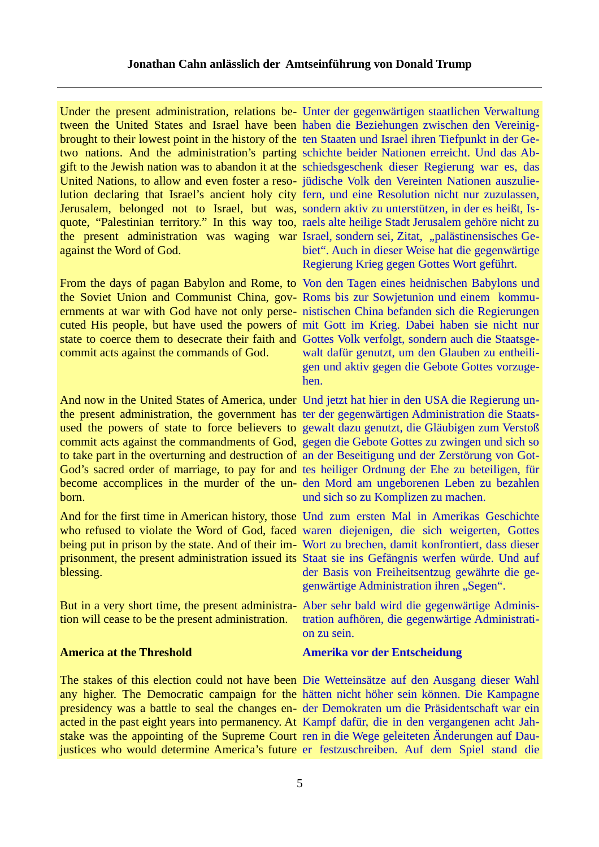Under the present administration, relations be- Unter der gegenwärtigen staatlichen Verwaltung tween the United States and Israel have been haben die Beziehungen zwischen den Vereinigbrought to their lowest point in the history of the ten Staaten und Israel ihren Tiefpunkt in der Getwo nations. And the administration's parting schichte beider Nationen erreicht. Und das Abgift to the Jewish nation was to abandon it at the schiedsgeschenk dieser Regierung war es, das United Nations, to allow and even foster a reso-jüdische Volk den Vereinten Nationen auszulielution declaring that Israel's ancient holy city fern, und eine Resolution nicht nur zuzulassen, Jerusalem, belonged not to Israel, but was, sondern aktiv zu unterstützen, in der es heißt, Isquote, "Palestinian territory." In this way too, raels alte heilige Stadt Jerusalem gehöre nicht zu the present administration was waging war Israel, sondern sei, Zitat, "palästinensisches Geagainst the Word of God.

the Soviet Union and Communist China, gov-Roms bis zur Sowjetunion und einem kommuernments at war with God have not only perse-nistischen China befanden sich die Regierungen cuted His people, but have used the powers of mit Gott im Krieg. Dabei haben sie nicht nur state to coerce them to desecrate their faith and Gottes Volk verfolgt, sondern auch die Staatsgecommit acts against the commands of God.

And now in the United States of America, under Und jetzt hat hier in den USA die Regierung unthe present administration, the government has ter der gegenwärtigen Administration die Staatsused the powers of state to force believers to gewalt dazu genutzt, die Gläubigen zum Verstoß commit acts against the commandments of God, gegen die Gebote Gottes zu zwingen und sich so to take part in the overturning and destruction of an der Beseitigung und der Zerstörung von Got-God's sacred order of marriage, to pay for and tes heiliger Ordnung der Ehe zu beteiligen, für become accomplices in the murder of the un- den Mord am ungeborenen Leben zu bezahlen born.

And for the first time in American history, those Und zum ersten Mal in Amerikas Geschichte who refused to violate the Word of God, faced waren diejenigen, die sich weigerten, Gottes being put in prison by the state. And of their im-Wort zu brechen, damit konfrontiert, dass dieser prisonment, the present administration issued its Staat sie ins Gefängnis werfen würde. Und auf blessing.

But in a very short time, the present administra-Aber sehr bald wird die gegenwärtige Administion will cease to be the present administration.

#### **America at the Threshold**

The stakes of this election could not have been Die Wetteinsätze auf den Ausgang dieser Wahl any higher. The Democratic campaign for the hätten nicht höher sein können. Die Kampagne presidency was a battle to seal the changes en-der Demokraten um die Präsidentschaft war ein acted in the past eight years into permanency. At Kampf dafür, die in den vergangenen acht Jahstake was the appointing of the Supreme Court ren in die Wege geleiteten Änderungen auf Daujustices who would determine America's future er festzuschreiben. Auf dem Spiel stand die

biet". Auch in dieser Weise hat die gegenwärtige Regierung Krieg gegen Gottes Wort geführt.

From the days of pagan Babylon and Rome, to Von den Tagen eines heidnischen Babylons und walt dafür genutzt, um den Glauben zu entheiligen und aktiv gegen die Gebote Gottes vorzugehen.

und sich so zu Komplizen zu machen.

der Basis von Freiheitsentzug gewährte die gegenwärtige Administration ihren "Segen".

tration aufhören, die gegenwärtige Administration zu sein.

#### **Amerika vor der Entscheidung**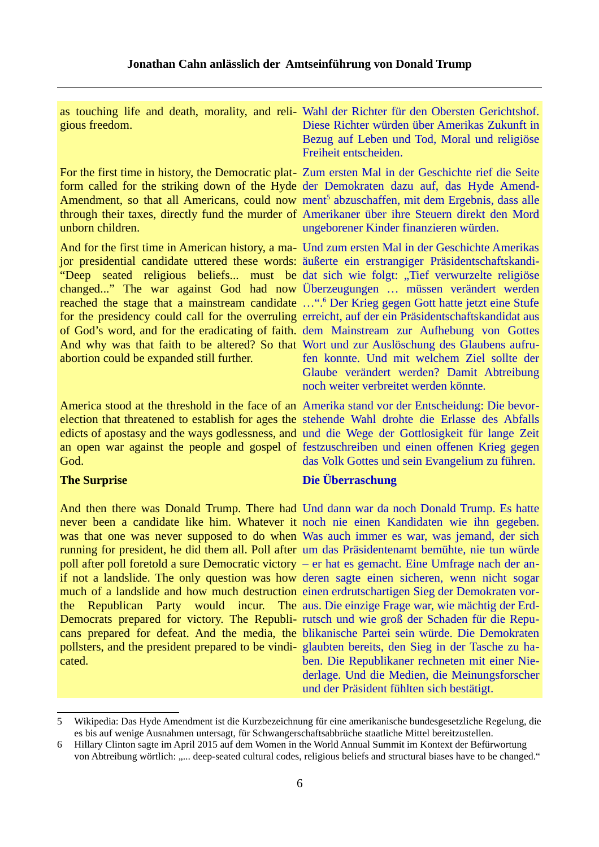| gious freedom.                            | as touching life and death, morality, and reli- Wahl der Richter für den Obersten Gerichtshof.<br>Diese Richter würden über Amerikas Zukunft in<br>Bezug auf Leben und Tod, Moral und religiöse<br>Freiheit entscheiden.                                                                                                                                                                                                                                                                                                                                                                                                                                                                                                                                                                                                                                                                                                                                              |
|-------------------------------------------|-----------------------------------------------------------------------------------------------------------------------------------------------------------------------------------------------------------------------------------------------------------------------------------------------------------------------------------------------------------------------------------------------------------------------------------------------------------------------------------------------------------------------------------------------------------------------------------------------------------------------------------------------------------------------------------------------------------------------------------------------------------------------------------------------------------------------------------------------------------------------------------------------------------------------------------------------------------------------|
| unborn children.                          | For the first time in history, the Democratic plat- Zum ersten Mal in der Geschichte rief die Seite<br>form called for the striking down of the Hyde der Demokraten dazu auf, das Hyde Amend-<br>Amendment, so that all Americans, could now ment <sup>5</sup> abzuschaffen, mit dem Ergebnis, dass alle<br>through their taxes, directly fund the murder of Amerikaner über ihre Steuern direkt den Mord<br>ungeborener Kinder finanzieren würden.                                                                                                                                                                                                                                                                                                                                                                                                                                                                                                                   |
| abortion could be expanded still further. | And for the first time in American history, a ma- Und zum ersten Mal in der Geschichte Amerikas<br>jor presidential candidate uttered these words: äußerte ein erstrangiger Präsidentschaftskandi-<br>"Deep seated religious beliefs must be dat sich wie folgt: "Tief verwurzelte religiöse<br>changed" The war against God had now Überzeugungen  müssen verändert werden<br>reached the stage that a mainstream candidate ". <sup>6</sup> Der Krieg gegen Gott hatte jetzt eine Stufe<br>for the presidency could call for the overruling erreicht, auf der ein Präsidentschaftskandidat aus<br>of God's word, and for the eradicating of faith. dem Mainstream zur Aufhebung von Gottes<br>And why was that faith to be altered? So that Wort und zur Auslöschung des Glaubens aufru-<br>fen konnte. Und mit welchem Ziel sollte der<br>Glaube verändert werden? Damit Abtreibung<br>noch weiter verbreitet werden könnte.                                        |
| God.                                      | America stood at the threshold in the face of an Amerika stand vor der Entscheidung: Die bevor-<br>election that threatened to establish for ages the stehende Wahl drohte die Erlasse des Abfalls<br>edicts of apostasy and the ways godlessness, and und die Wege der Gottlosigkeit für lange Zeit<br>an open war against the people and gospel of festzuschreiben und einen offenen Krieg gegen<br>das Volk Gottes und sein Evangelium zu führen.                                                                                                                                                                                                                                                                                                                                                                                                                                                                                                                  |
| <b>The Surprise</b>                       | Die Überraschung                                                                                                                                                                                                                                                                                                                                                                                                                                                                                                                                                                                                                                                                                                                                                                                                                                                                                                                                                      |
| the                                       | And then there was Donald Trump. There had Und dann war da noch Donald Trump. Es hatte<br>never been a candidate like him. Whatever it noch nie einen Kandidaten wie ihn gegeben.<br>was that one was never supposed to do when Was auch immer es war, was jemand, der sich<br>running for president, he did them all. Poll after um das Präsidentenamt bemühte, nie tun würde<br>poll after poll foretold a sure Democratic victory $-$ er hat es gemacht. Eine Umfrage nach der an-<br>if not a landslide. The only question was how deren sagte einen sicheren, wenn nicht sogar<br>much of a landslide and how much destruction einen erdrutschartigen Sieg der Demokraten vor-<br>Republican Party would incur. The aus. Die einzige Frage war, wie mächtig der Erd-<br>Democrats prepared for victory. The Republi- rutsch und wie groß der Schaden für die Repu-<br>cans prepared for defeat. And the media, the blikanische Partei sein würde. Die Demokraten |

pollsters, and the president prepared to be vindi-glaubten bereits, den Sieg in der Tasche zu haben. Die Republikaner rechneten mit einer Niederlage. Und die Medien, die Meinungsforscher und der Präsident fühlten sich bestätigt.

cated.

<span id="page-5-0"></span><sup>5</sup> Wikipedia: Das Hyde Amendment ist die Kurzbezeichnung für eine amerikanische bundesgesetzliche Regelung, die es bis auf wenige Ausnahmen untersagt, für Schwangerschaftsabbrüche staatliche Mittel bereitzustellen.

<span id="page-5-1"></span><sup>6</sup> Hillary Clinton sagte im April 2015 auf dem Women in the World Annual Summit im Kontext der Befürwortung von Abtreibung wörtlich: "... deep-seated cultural codes, religious beliefs and structural biases have to be changed."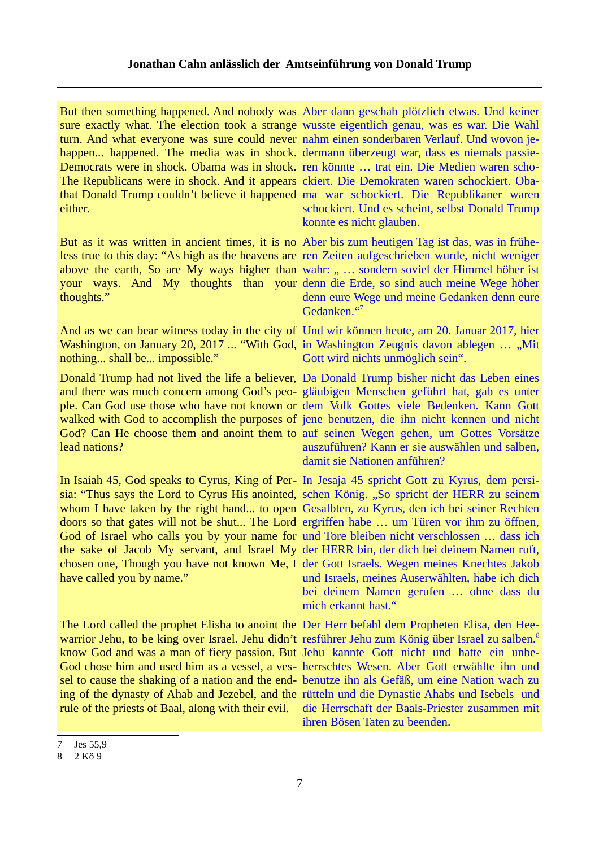But then something happened. And nobody was Aber dann geschah plötzlich etwas. Und keiner sure exactly what. The election took a strange wusste eigentlich genau, was es war. Die Wahl turn. And what everyone was sure could never nahm einen sonderbaren Verlauf. Und wovon jehappen... happened. The media was in shock. dermann überzeugt war, dass es niemals passie-Democrats were in shock. Obama was in shock. ren könnte … trat ein. Die Medien waren scho-The Republicans were in shock. And it appears ckiert. Die Demokraten waren schockiert. Obathat Donald Trump couldn't believe it happened ma war schockiert. Die Republikaner waren either.

But as it was written in ancient times, it is no Aber bis zum heutigen Tag ist das, was in früheless true to this day: "As high as the heavens are ren Zeiten aufgeschrieben wurde, nicht weniger above the earth, So are My ways higher than wahr: " ... sondern soviel der Himmel höher ist your ways. And My thoughts than your denn die Erde, so sind auch meine Wege höher thoughts."

And as we can bear witness today in the city of Und wir können heute, am 20. Januar 2017, hier Washington, on January 20, 2017 ... "With God, in Washington Zeugnis davon ablegen ... "Mit nothing... shall be... impossible."

Donald Trump had not lived the life a believer, Da Donald Trump bisher nicht das Leben eines and there was much concern among God's peo-gläubigen Menschen geführt hat, gab es unter ple. Can God use those who have not known or dem Volk Gottes viele Bedenken. Kann Gott walked with God to accomplish the purposes of jene benutzen, die ihn nicht kennen und nicht God? Can He choose them and anoint them to auf seinen Wegen gehen, um Gottes Vorsätze lead nations?

In Isaiah 45, God speaks to Cyrus, King of Per-In Jesaja 45 spricht Gott zu Kyrus, dem persisia: "Thus says the Lord to Cyrus His anointed, schen König. "So spricht der HERR zu seinem whom I have taken by the right hand... to open Gesalbten, zu Kyrus, den ich bei seiner Rechten doors so that gates will not be shut... The Lord ergriffen habe … um Türen vor ihm zu öffnen, God of Israel who calls you by your name for und Tore bleiben nicht verschlossen ... dass ich the sake of Jacob My servant, and Israel My der HERR bin, der dich bei deinem Namen ruft, chosen one, Though you have not known Me, I der Gott Israels. Wegen meines Knechtes Jakob have called you by name."

warrior Jehu, to be king over Israel. Jehu didn't resführer Jehu zum König über Israel zu salben.<sup>[8](#page-6-1)</sup> know God and was a man of fiery passion. But Jehu kannte Gott nicht und hatte ein unbe-God chose him and used him as a vessel, a ves- herrschtes Wesen. Aber Gott erwählte ihn und sel to cause the shaking of a nation and the end-benutze ihn als Gefäß, um eine Nation wach zu ing of the dynasty of Ahab and Jezebel, and the rütteln und die Dynastie Ahabs und Isebels und rule of the priests of Baal, along with their evil. die Herrschaft der Baals-Priester zusammen mit

schockiert. Und es scheint, selbst Donald Trump konnte es nicht glauben.

denn eure Wege und meine Gedanken denn eure Gedanken."[7](#page-6-0)

Gott wird nichts unmöglich sein".

auszuführen? Kann er sie auswählen und salben, damit sie Nationen anführen?

und Israels, meines Auserwählten, habe ich dich bei deinem Namen gerufen … ohne dass du mich erkannt hast."

The Lord called the prophet Elisha to anoint the Der Herr befahl dem Propheten Elisa, den Heeihren Bösen Taten zu beenden.

<span id="page-6-0"></span><sup>7</sup> Jes 55,9

<span id="page-6-1"></span><sup>8</sup> 2 Kö 9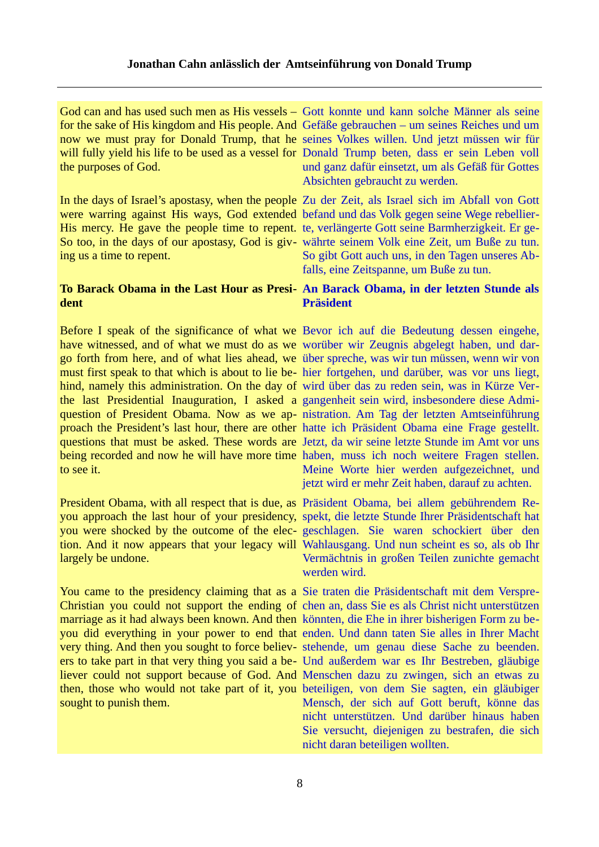the purposes of God.

were warring against His ways, God extended befand und das Volk gegen seine Wege rebellier-His mercy. He gave the people time to repent. te, verlängerte Gott seine Barmherzigkeit. Er ge-So too, in the days of our apostasy, God is giv-währte seinem Volk eine Zeit, um Buße zu tun. ing us a time to repent.

# **To Barack Obama in the Last Hour as Presi-An Barack Obama, in der letzten Stunde als dent**

have witnessed, and of what we must do as we worüber wir Zeugnis abgelegt haben, und dargo forth from here, and of what lies ahead, we über spreche, was wir tun müssen, wenn wir von must first speak to that which is about to lie be-hier fortgehen, und darüber, was vor uns liegt, hind, namely this administration. On the day of wird über das zu reden sein, was in Kürze Verthe last Presidential Inauguration, I asked a gangenheit sein wird, insbesondere diese Admiquestion of President Obama. Now as we ap-nistration. Am Tag der letzten Amtseinführung proach the President's last hour, there are other hatte ich Präsident Obama eine Frage gestellt. questions that must be asked. These words are Jetzt, da wir seine letzte Stunde im Amt vor uns being recorded and now he will have more time haben, muss ich noch weitere Fragen stellen. to see it.

you approach the last hour of your presidency, spekt, die letzte Stunde Ihrer Präsidentschaft hat you were shocked by the outcome of the elec-geschlagen. Sie waren schockiert über den tion. And it now appears that your legacy will Wahlausgang. Und nun scheint es so, als ob Ihr largely be undone.

You came to the presidency claiming that as a Sie traten die Präsidentschaft mit dem Verspre-Christian you could not support the ending of chen an, dass Sie es als Christ nicht unterstützen marriage as it had always been known. And then könnten, die Ehe in ihrer bisherigen Form zu beyou did everything in your power to end that enden. Und dann taten Sie alles in Ihrer Macht very thing. And then you sought to force believ-stehende, um genau diese Sache zu beenden. ers to take part in that very thing you said a be-Und außerdem war es Ihr Bestreben, gläubige liever could not support because of God. And Menschen dazu zu zwingen, sich an etwas zu then, those who would not take part of it, you beteiligen, von dem Sie sagten, ein gläubiger sought to punish them.

God can and has used such men as His vessels – Gott konnte und kann solche Männer als seine for the sake of His kingdom and His people. And Gefäße gebrauchen – um seines Reiches und um now we must pray for Donald Trump, that he seines Volkes willen. Und jetzt müssen wir für will fully yield his life to be used as a vessel for Donald Trump beten, dass er sein Leben voll und ganz dafür einsetzt, um als Gefäß für Gottes Absichten gebraucht zu werden.

In the days of Israel's apostasy, when the people Zu der Zeit, als Israel sich im Abfall von Gott So gibt Gott auch uns, in den Tagen unseres Abfalls, eine Zeitspanne, um Buße zu tun.

# **Präsident**

Before I speak of the significance of what we Bevor ich auf die Bedeutung dessen eingehe, Meine Worte hier werden aufgezeichnet, und jetzt wird er mehr Zeit haben, darauf zu achten.

President Obama, with all respect that is due, as Präsident Obama, bei allem gebührendem Re-Vermächtnis in großen Teilen zunichte gemacht werden wird.

> Mensch, der sich auf Gott beruft, könne das nicht unterstützen. Und darüber hinaus haben Sie versucht, diejenigen zu bestrafen, die sich nicht daran beteiligen wollten.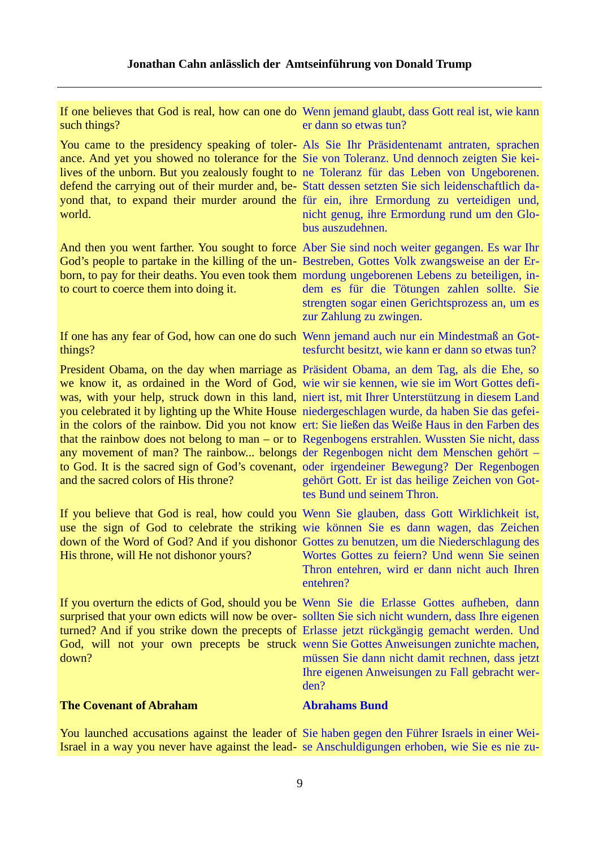such things?

You came to the presidency speaking of toler-Als Sie Ihr Präsidentenamt antraten, sprachen ance. And yet you showed no tolerance for the Sie von Toleranz. Und dennoch zeigten Sie keilives of the unborn. But you zealously fought to ne Toleranz für das Leben von Ungeborenen. defend the carrying out of their murder and, be-Statt dessen setzten Sie sich leidenschaftlich dayond that, to expand their murder around the für ein, ihre Ermordung zu verteidigen und, world.

And then you went farther. You sought to force Aber Sie sind noch weiter gegangen. Es war Ihr God's people to partake in the killing of the un-Bestreben, Gottes Volk zwangsweise an der Erborn, to pay for their deaths. You even took them mordung ungeborenen Lebens zu beteiligen, into court to coerce them into doing it.

If one has any fear of God, how can one do such Wenn jemand auch nur ein Mindestmaß an Gotthings?

President Obama, on the day when marriage as Präsident Obama, an dem Tag, als die Ehe, so we know it, as ordained in the Word of God, wie wir sie kennen, wie sie im Wort Gottes defiwas, with your help, struck down in this land, niert ist, mit Ihrer Unterstützung in diesem Land you celebrated it by lighting up the White House niedergeschlagen wurde, da haben Sie das gefeiin the colors of the rainbow. Did you not know ert: Sie ließen das Weiße Haus in den Farben des that the rainbow does not belong to man – or to Regenbogens erstrahlen. Wussten Sie nicht, dass any movement of man? The rainbow... belongs der Regenbogen nicht dem Menschen gehört – to God. It is the sacred sign of God's covenant, oder irgendeiner Bewegung? Der Regenbogen and the sacred colors of His throne?

If you believe that God is real, how could you Wenn Sie glauben, dass Gott Wirklichkeit ist, use the sign of God to celebrate the striking wie können Sie es dann wagen, das Zeichen down of the Word of God? And if you dishonor Gottes zu benutzen, um die Niederschlagung des His throne, will He not dishonor yours?

If you overturn the edicts of God, should you be Wenn Sie die Erlasse Gottes aufheben, dann surprised that your own edicts will now be over-sollten Sie sich nicht wundern, dass Ihre eigenen turned? And if you strike down the precepts of Erlasse jetzt rückgängig gemacht werden. Und God, will not your own precepts be struck wenn Sie Gottes Anweisungen zunichte machen, down?

# **The Covenant of Abraham**

If one believes that God is real, how can one do Wenn jemand glaubt, dass Gott real ist, wie kann er dann so etwas tun?

> nicht genug, ihre Ermordung rund um den Globus auszudehnen.

> dem es für die Tötungen zahlen sollte. Sie strengten sogar einen Gerichtsprozess an, um es zur Zahlung zu zwingen.

> tesfurcht besitzt, wie kann er dann so etwas tun?

gehört Gott. Er ist das heilige Zeichen von Gottes Bund und seinem Thron.

Wortes Gottes zu feiern? Und wenn Sie seinen Thron entehren, wird er dann nicht auch Ihren entehren?

müssen Sie dann nicht damit rechnen, dass jetzt Ihre eigenen Anweisungen zu Fall gebracht werden?

# **Abrahams Bund**

You launched accusations against the leader of Sie haben gegen den Führer Israels in einer Wei-Israel in a way you never have against the lead-se Anschuldigungen erhoben, wie Sie es nie zu-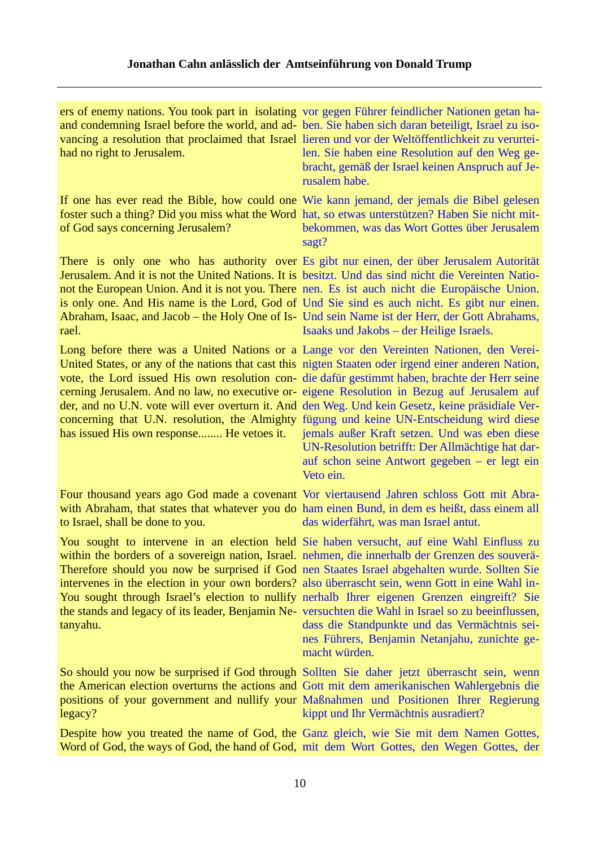| had no right to Jerusalem.                                                                                   | ers of enemy nations. You took part in isolating vor gegen Führer feindlicher Nationen getan ha-<br>and condemning Israel before the world, and ad- ben. Sie haben sich daran beteiligt, Israel zu iso-<br>vancing a resolution that proclaimed that Israel lieren und vor der Weltöffentlichkeit zu verurtei-<br>len. Sie haben eine Resolution auf den Weg ge-<br>bracht, gemäß der Israel keinen Anspruch auf Je-<br>rusalem habe.                                                                                                                                                                                                                                                                                                                                   |
|--------------------------------------------------------------------------------------------------------------|-------------------------------------------------------------------------------------------------------------------------------------------------------------------------------------------------------------------------------------------------------------------------------------------------------------------------------------------------------------------------------------------------------------------------------------------------------------------------------------------------------------------------------------------------------------------------------------------------------------------------------------------------------------------------------------------------------------------------------------------------------------------------|
| of God says concerning Jerusalem?                                                                            | If one has ever read the Bible, how could one Wie kann jemand, der jemals die Bibel gelesen<br>foster such a thing? Did you miss what the Word hat, so etwas unterstützen? Haben Sie nicht mit-<br>bekommen, was das Wort Gottes über Jerusalem<br>sagt?                                                                                                                                                                                                                                                                                                                                                                                                                                                                                                                |
| rael.                                                                                                        | There is only one who has authority over Es gibt nur einen, der über Jerusalem Autorität<br>Jerusalem. And it is not the United Nations. It is besitzt. Und das sind nicht die Vereinten Natio-<br>not the European Union. And it is not you. There nen. Es ist auch nicht die Europäische Union.<br>is only one. And His name is the Lord, God of Und Sie sind es auch nicht. Es gibt nur einen.<br>Abraham, Isaac, and Jacob – the Holy One of Is- Und sein Name ist der Herr, der Gott Abrahams,<br>Isaaks und Jakobs – der Heilige Israels.                                                                                                                                                                                                                         |
| has issued His own response He vetoes it.                                                                    | Long before there was a United Nations or a Lange vor den Vereinten Nationen, den Verei-<br>United States, or any of the nations that cast this nigten Staaten oder irgend einer anderen Nation,<br>vote, the Lord issued His own resolution con- die dafür gestimmt haben, brachte der Herr seine<br>cerning Jerusalem. And no law, no executive or-eigene Resolution in Bezug auf Jerusalem auf<br>der, and no U.N. vote will ever overturn it. And den Weg. Und kein Gesetz, keine präsidiale Ver-<br>concerning that U.N. resolution, the Almighty fügung und keine UN-Entscheidung wird diese<br>jemals außer Kraft setzen. Und was eben diese<br>UN-Resolution betrifft: Der Allmächtige hat dar-<br>auf schon seine Antwort gegeben $-$ er legt ein<br>Veto ein. |
| to Israel, shall be done to you.                                                                             | Four thousand years ago God made a covenant Vor viertausend Jahren schloss Gott mit Abra-<br>with Abraham, that states that whatever you do ham einen Bund, in dem es heißt, dass einem all<br>das widerfährt, was man Israel antut.                                                                                                                                                                                                                                                                                                                                                                                                                                                                                                                                    |
| within the borders of a sovereign nation, Israel. nehmen, die innerhalb der Grenzen des souverä-<br>tanyahu. | You sought to intervene in an election held Sie haben versucht, auf eine Wahl Einfluss zu<br>Therefore should you now be surprised if God nen Staates Israel abgehalten wurde. Sollten Sie<br>intervenes in the election in your own borders? also überrascht sein, wenn Gott in eine Wahl in-<br>You sought through Israel's election to nullify nerhalb Ihrer eigenen Grenzen eingreift? Sie<br>the stands and legacy of its leader, Benjamin Ne- versuchten die Wahl in Israel so zu beeinflussen,<br>dass die Standpunkte und das Vermächtnis sei-<br>nes Führers, Benjamin Netanjahu, zunichte ge-<br>macht würden.                                                                                                                                                |
| legacy?                                                                                                      | So should you now be surprised if God through Sollten Sie daher jetzt überrascht sein, wenn<br>the American election overturns the actions and Gott mit dem amerikanischen Wahlergebnis die<br>positions of your government and nullify your Maßnahmen und Positionen Ihrer Regierung<br>kippt und Ihr Vermächtnis ausradiert?                                                                                                                                                                                                                                                                                                                                                                                                                                          |
|                                                                                                              | Despite how you treated the name of God, the Ganz gleich, wie Sie mit dem Namen Gottes,<br>Word of God, the ways of God, the hand of God, mit dem Wort Gottes, den Wegen Gottes, der                                                                                                                                                                                                                                                                                                                                                                                                                                                                                                                                                                                    |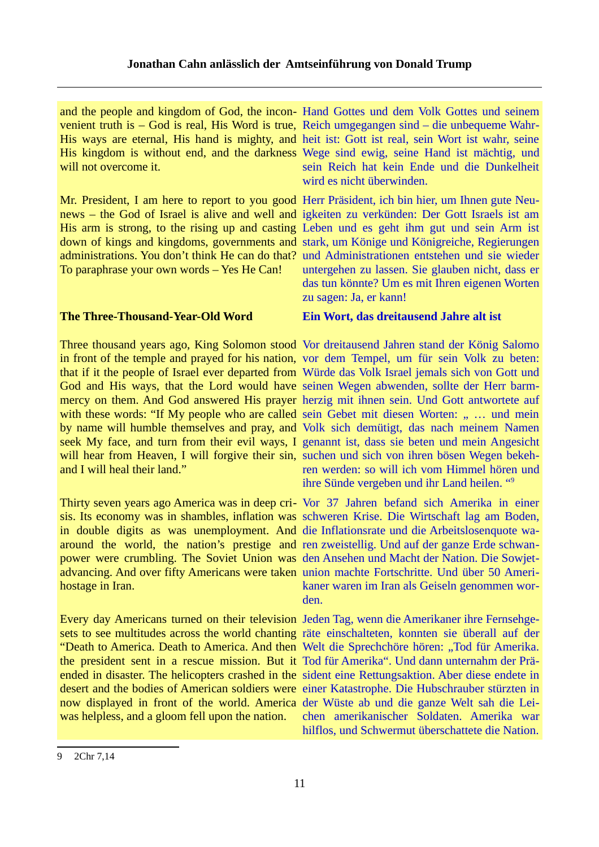and the people and kingdom of God, the incon-Hand Gottes und dem Volk Gottes und seinem His ways are eternal, His hand is mighty, and heit ist: Gott ist real, sein Wort ist wahr, seine will not overcome it.

Mr. President, I am here to report to you good Herr Präsident, ich bin hier, um Ihnen gute Neunews – the God of Israel is alive and well and igkeiten zu verkünden: Der Gott Israels ist am His arm is strong, to the rising up and casting Leben und es geht ihm gut und sein Arm ist down of kings and kingdoms, governments and stark, um Könige und Königreiche, Regierungen administrations. You don't think He can do that? und Administrationen entstehen und sie wieder To paraphrase your own words – Yes He Can!

### **The Three-Thousand-Year-Old Word**

in front of the temple and prayed for his nation, vor dem Tempel, um für sein Volk zu beten: that if it the people of Israel ever departed from Würde das Volk Israel jemals sich von Gott und God and His ways, that the Lord would have seinen Wegen abwenden, sollte der Herr barmmercy on them. And God answered His prayer herzig mit ihnen sein. Und Gott antwortete auf with these words: "If My people who are called sein Gebet mit diesen Worten: " ... und mein by name will humble themselves and pray, and Volk sich demütigt, das nach meinem Namen seek My face, and turn from their evil ways, I genannt ist, dass sie beten und mein Angesicht will hear from Heaven, I will forgive their sin, suchen und sich von ihren bösen Wegen bekehand I will heal their land."

Thirty seven years ago America was in deep cri-Vor 37 Jahren befand sich Amerika in einer sis. Its economy was in shambles, inflation was schweren Krise. Die Wirtschaft lag am Boden, in double digits as was unemployment. And die Inflationsrate und die Arbeitslosenquote waaround the world, the nation's prestige and ren zweistellig. Und auf der ganze Erde schwanpower were crumbling. The Soviet Union was den Ansehen und Macht der Nation. Die Sowjetadvancing. And over fifty Americans were taken union machte Fortschritte. Und über 50 Amerihostage in Iran.

Every day Americans turned on their television Jeden Tag, wenn die Amerikaner ihre Fernsehgesets to see multitudes across the world chanting räte einschalteten, konnten sie überall auf der "Death to America. Death to America. And then Welt die Sprechchöre hören: "Tod für Amerika. the president sent in a rescue mission. But it Tod für Amerika". Und dann unternahm der Präended in disaster. The helicopters crashed in the sident eine Rettungsaktion. Aber diese endete in desert and the bodies of American soldiers were einer Katastrophe. Die Hubschrauber stürzten in now displayed in front of the world. America der Wüste ab und die ganze Welt sah die Leiwas helpless, and a gloom fell upon the nation.

venient truth is – God is real, His Word is true, Reich umgegangen sind – die unbequeme Wahr-His kingdom is without end, and the darkness Wege sind ewig, seine Hand ist mächtig, und sein Reich hat kein Ende und die Dunkelheit wird es nicht überwinden.

> untergehen zu lassen. Sie glauben nicht, dass er das tun könnte? Um es mit Ihren eigenen Worten zu sagen: Ja, er kann!

# **Ein Wort, das dreitausend Jahre alt ist**

Three thousand years ago, King Solomon stood Vor dreitausend Jahren stand der König Salomo ren werden: so will ich vom Himmel hören und ihre Sünde vergeben und ihr Land heilen. "[9](#page-10-0)

> kaner waren im Iran als Geiseln genommen worden.

> chen amerikanischer Soldaten. Amerika war hilflos, und Schwermut überschattete die Nation.

<span id="page-10-0"></span><sup>9</sup> 2Chr 7,14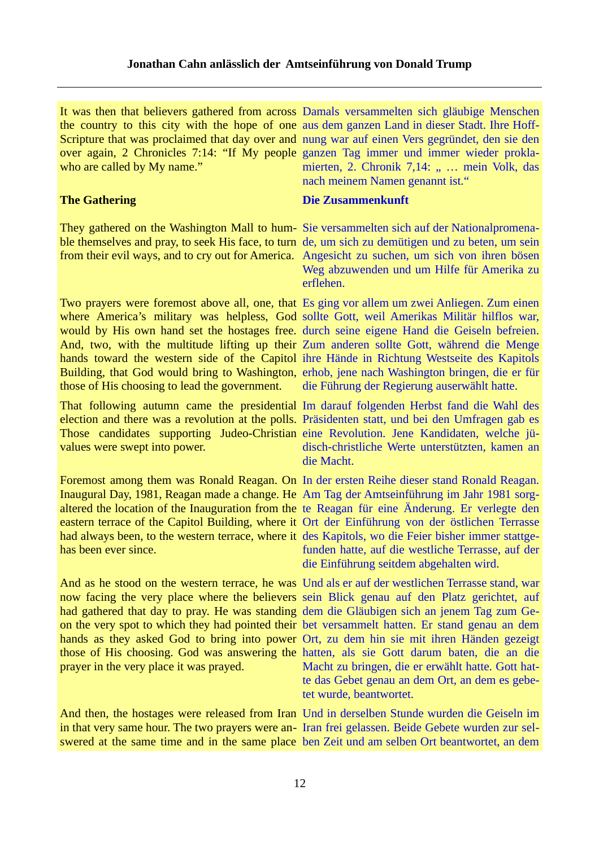who are called by My name."

#### **The Gathering**

ble themselves and pray, to seek His face, to turn de, um sich zu demütigen und zu beten, um sein

Two prayers were foremost above all, one, that Es ging vor allem um zwei Anliegen. Zum einen where America's military was helpless, God sollte Gott, weil Amerikas Militär hilflos war, would by His own hand set the hostages free. durch seine eigene Hand die Geiseln befreien. And, two, with the multitude lifting up their Zum anderen sollte Gott, während die Menge hands toward the western side of the Capitol ihre Hände in Richtung Westseite des Kapitols Building, that God would bring to Washington, erhob, jene nach Washington bringen, die er für those of His choosing to lead the government.

election and there was a revolution at the polls. Präsidenten statt, und bei den Umfragen gab es values were swept into power.

Foremost among them was Ronald Reagan. On In der ersten Reihe dieser stand Ronald Reagan. Inaugural Day, 1981, Reagan made a change. He Am Tag der Amtseinführung im Jahr 1981 sorgaltered the location of the Inauguration from the te Reagan für eine Änderung. Er verlegte den eastern terrace of the Capitol Building, where it Ort der Einführung von der östlichen Terrasse had always been, to the western terrace, where it des Kapitols, wo die Feier bisher immer stattgehas been ever since.

And as he stood on the western terrace, he was Und als er auf der westlichen Terrasse stand, war now facing the very place where the believers sein Blick genau auf den Platz gerichtet, auf had gathered that day to pray. He was standing dem die Gläubigen sich an jenem Tag zum Geon the very spot to which they had pointed their bet versammelt hatten. Er stand genau an dem hands as they asked God to bring into power Ort, zu dem hin sie mit ihren Händen gezeigt those of His choosing. God was answering the hatten, als sie Gott darum baten, die an die prayer in the very place it was prayed.

And then, the hostages were released from Iran Und in derselben Stunde wurden die Geiseln im

It was then that believers gathered from across Damals versammelten sich gläubige Menschen the country to this city with the hope of one aus dem ganzen Land in dieser Stadt. Ihre Hoff-Scripture that was proclaimed that day over and nung war auf einen Vers gegründet, den sie den over again, 2 Chronicles 7:14: "If My people ganzen Tag immer und immer wieder proklamierten, 2. Chronik 7,14: " ... mein Volk, das nach meinem Namen genannt ist."

### **Die Zusammenkunft**

They gathered on the Washington Mall to hum-Sie versammelten sich auf der Nationalpromenafrom their evil ways, and to cry out for America. Angesicht zu suchen, um sich von ihren bösen Weg abzuwenden und um Hilfe für Amerika zu erflehen.

die Führung der Regierung auserwählt hatte.

That following autumn came the presidential Im darauf folgenden Herbst fand die Wahl des Those candidates supporting Judeo-Christian eine Revolution. Jene Kandidaten, welche jüdisch-christliche Werte unterstützten, kamen an die Macht.

> funden hatte, auf die westliche Terrasse, auf der die Einführung seitdem abgehalten wird.

> Macht zu bringen, die er erwählt hatte. Gott hatte das Gebet genau an dem Ort, an dem es gebetet wurde, beantwortet.

in that very same hour. The two prayers were an-Iran frei gelassen. Beide Gebete wurden zur selswered at the same time and in the same place ben Zeit und am selben Ort beantwortet, an dem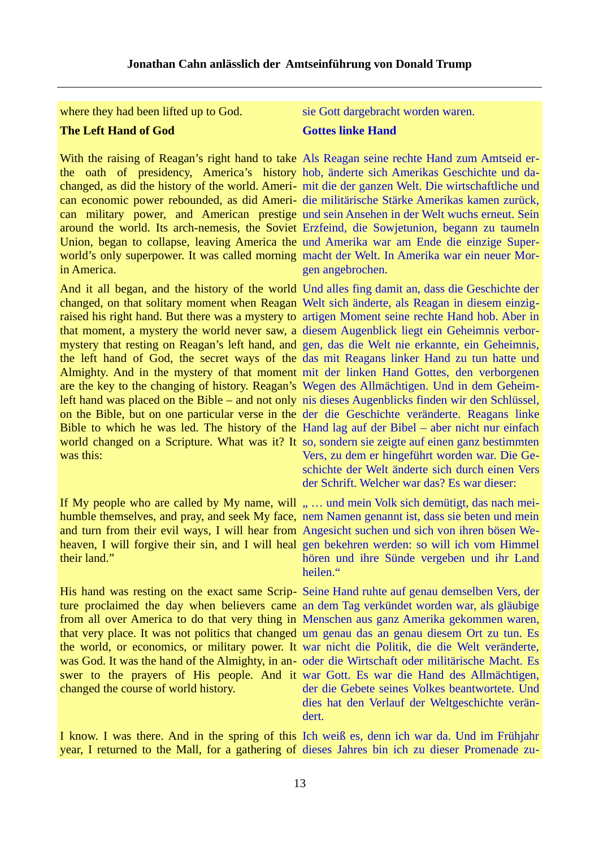where they had been lifted up to God. sie Gott dargebracht worden waren.

# **The Left Hand of God**

With the raising of Reagan's right hand to take Als Reagan seine rechte Hand zum Amtseid erthe oath of presidency, America's history hob, änderte sich Amerikas Geschichte und dachanged, as did the history of the world. Ameri-mit die der ganzen Welt. Die wirtschaftliche und can economic power rebounded, as did Ameri-die militärische Stärke Amerikas kamen zurück, can military power, and American prestige und sein Ansehen in der Welt wuchs erneut. Sein around the world. Its arch-nemesis, the Soviet Erzfeind, die Sowjetunion, begann zu taumeln Union, began to collapse, leaving America the und Amerika war am Ende die einzige Superworld's only superpower. It was called morning macht der Welt. In Amerika war ein neuer Morin America.

And it all began, and the history of the world Und alles fing damit an, dass die Geschichte der changed, on that solitary moment when Reagan Welt sich änderte, als Reagan in diesem einzigraised his right hand. But there was a mystery to artigen Moment seine rechte Hand hob. Aber in that moment, a mystery the world never saw, a diesem Augenblick liegt ein Geheimnis verbormystery that resting on Reagan's left hand, and gen, das die Welt nie erkannte, ein Geheimnis, the left hand of God, the secret ways of the das mit Reagans linker Hand zu tun hatte und Almighty. And in the mystery of that moment mit der linken Hand Gottes, den verborgenen are the key to the changing of history. Reagan's Wegen des Allmächtigen. Und in dem Geheimleft hand was placed on the Bible – and not only nis dieses Augenblicks finden wir den Schlüssel, on the Bible, but on one particular verse in the der die Geschichte veränderte. Reagans linke Bible to which he was led. The history of the Hand lag auf der Bibel – aber nicht nur einfach world changed on a Scripture. What was it? It so, sondern sie zeigte auf einen ganz bestimmten was this:

humble themselves, and pray, and seek My face, nem Namen genannt ist, dass sie beten und mein and turn from their evil ways, I will hear from Angesicht suchen und sich von ihren bösen Weheaven, I will forgive their sin, and I will heal gen bekehren werden: so will ich vom Himmel their land."

His hand was resting on the exact same Scrip-Seine Hand ruhte auf genau demselben Vers, der ture proclaimed the day when believers came an dem Tag verkündet worden war, als gläubige from all over America to do that very thing in Menschen aus ganz Amerika gekommen waren, that very place. It was not politics that changed um genau das an genau diesem Ort zu tun. Es the world, or economics, or military power. It war nicht die Politik, die die Welt veränderte, was God. It was the hand of the Almighty, in an- oder die Wirtschaft oder militärische Macht. Es swer to the prayers of His people. And it war Gott. Es war die Hand des Allmächtigen, changed the course of world history.

### **Gottes linke Hand**

gen angebrochen.

Vers, zu dem er hingeführt worden war. Die Geschichte der Welt änderte sich durch einen Vers der Schrift. Welcher war das? Es war dieser:

If My people who are called by My name, will " ... und mein Volk sich demütigt, das nach meihören und ihre Sünde vergeben und ihr Land heilen."

> der die Gebete seines Volkes beantwortete. Und dies hat den Verlauf der Weltgeschichte verändert.

I know. I was there. And in the spring of this Ich weiß es, denn ich war da. Und im Frühjahr year, I returned to the Mall, for a gathering of dieses Jahres bin ich zu dieser Promenade zu-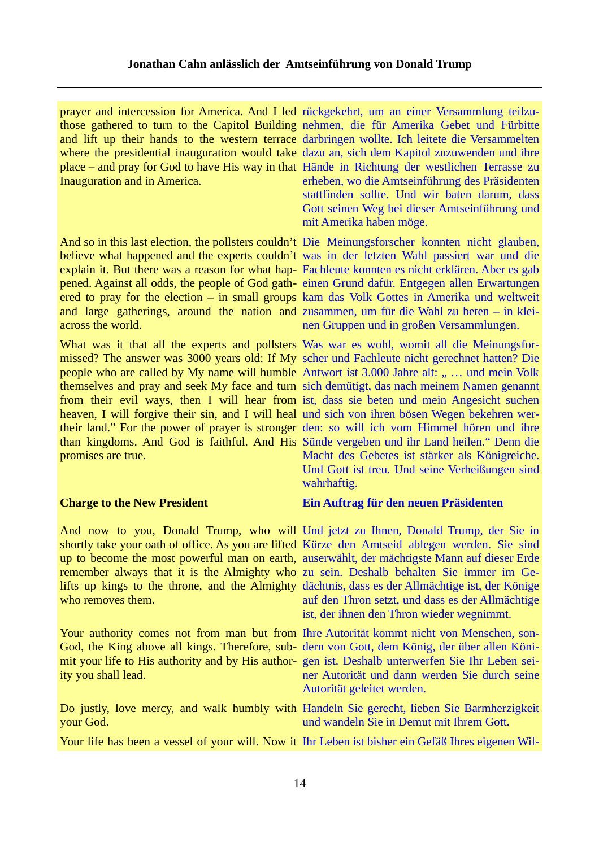prayer and intercession for America. And I led rückgekehrt, um an einer Versammlung teilzuthose gathered to turn to the Capitol Building nehmen, die für Amerika Gebet und Fürbitte and lift up their hands to the western terrace darbringen wollte. Ich leitete die Versammelten where the presidential inauguration would take dazu an, sich dem Kapitol zuzuwenden und ihre place – and pray for God to have His way in that Hände in Richtung der westlichen Terrasse zu Inauguration and in America.

believe what happened and the experts couldn't was in der letzten Wahl passiert war und die explain it. But there was a reason for what hap-Fachleute konnten es nicht erklären. Aber es gab pened. Against all odds, the people of God gath-einen Grund dafür. Entgegen allen Erwartungen ered to pray for the election – in small groups kam das Volk Gottes in Amerika und weltweit and large gatherings, around the nation and zusammen, um für die Wahl zu beten – in kleiacross the world.

What was it that all the experts and pollsters Was war es wohl, womit all die Meinungsformissed? The answer was 3000 years old: If My scher und Fachleute nicht gerechnet hatten? Die people who are called by My name will humble Antwort ist 3.000 Jahre alt: " ... und mein Volk themselves and pray and seek My face and turn sich demütigt, das nach meinem Namen genannt from their evil ways, then I will hear from ist, dass sie beten und mein Angesicht suchen heaven, I will forgive their sin, and I will heal und sich von ihren bösen Wegen bekehren wertheir land." For the power of prayer is stronger den: so will ich vom Himmel hören und ihre than kingdoms. And God is faithful. And His Sünde vergeben und ihr Land heilen." Denn die promises are true.

### **Charge to the New President**

shortly take your oath of office. As you are lifted Kürze den Amtseid ablegen werden. Sie sind up to become the most powerful man on earth, auserwählt, der mächtigste Mann auf dieser Erde remember always that it is the Almighty who zu sein. Deshalb behalten Sie immer im Gelifts up kings to the throne, and the Almighty dächtnis, dass es der Allmächtige ist, der Könige who removes them.

Your authority comes not from man but from Ihre Autorität kommt nicht von Menschen, son-God, the King above all kings. Therefore, sub- dern von Gott, dem König, der über allen Könimit your life to His authority and by His author-gen ist. Deshalb unterwerfen Sie Ihr Leben seiity you shall lead.

Do justly, love mercy, and walk humbly with Handeln Sie gerecht, lieben Sie Barmherzigkeit your God.

Your life has been a vessel of your will. Now it Ihr Leben ist bisher ein Gefäß Ihres eigenen Wil-

erheben, wo die Amtseinführung des Präsidenten stattfinden sollte. Und wir baten darum, dass Gott seinen Weg bei dieser Amtseinführung und mit Amerika haben möge.

And so in this last election, the pollsters couldn't Die Meinungsforscher konnten nicht glauben, nen Gruppen und in großen Versammlungen.

> Macht des Gebetes ist stärker als Königreiche. Und Gott ist treu. Und seine Verheißungen sind wahrhaftig.

### **Ein Auftrag für den neuen Präsidenten**

And now to you, Donald Trump, who will Und jetzt zu Ihnen, Donald Trump, der Sie in auf den Thron setzt, und dass es der Allmächtige ist, der ihnen den Thron wieder wegnimmt.

> ner Autorität und dann werden Sie durch seine Autorität geleitet werden.

und wandeln Sie in Demut mit Ihrem Gott.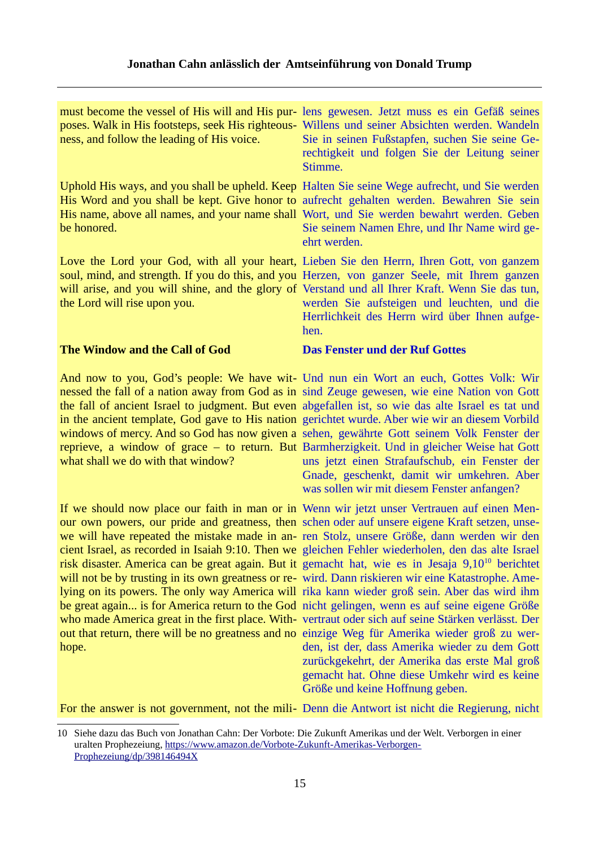| ness, and follow the leading of His voice. | must become the vessel of His will and His pur-lens gewesen. Jetzt muss es ein Gefäß seines<br>poses. Walk in His footsteps, seek His righteous- Willens und seiner Absichten werden. Wandeln<br>Sie in seinen Fußstapfen, suchen Sie seine Ge-<br>rechtigkeit und folgen Sie der Leitung seiner<br>Stimme.                                             |
|--------------------------------------------|---------------------------------------------------------------------------------------------------------------------------------------------------------------------------------------------------------------------------------------------------------------------------------------------------------------------------------------------------------|
| be honored.                                | Uphold His ways, and you shall be upheld. Keep Halten Sie seine Wege aufrecht, und Sie werden<br>His Word and you shall be kept. Give honor to aufrecht gehalten werden. Bewahren Sie sein<br>His name, above all names, and your name shall Wort, und Sie werden bewahrt werden. Geben<br>Sie seinem Namen Ehre, und Ihr Name wird ge-<br>ehrt werden. |
| the Lord will rise upon you.               | Love the Lord your God, with all your heart, Lieben Sie den Herrn, Ihren Gott, von ganzem<br>soul, mind, and strength. If you do this, and you Herzen, von ganzer Seele, mit Ihrem ganzen<br>will arise, and you will shine, and the glory of Verstand und all Ihrer Kraft. Wenn Sie das tun,<br>werden Sie aufsteigen und leuchten, und die            |

# **The Window and the Call of God**

nessed the fall of a nation away from God as in sind Zeuge gewesen, wie eine Nation von Gott the fall of ancient Israel to judgment. But even abgefallen ist, so wie das alte Israel es tat und in the ancient template, God gave to His nation gerichtet wurde. Aber wie wir an diesem Vorbild windows of mercy. And so God has now given a sehen, gewährte Gott seinem Volk Fenster der reprieve, a window of grace – to return. But Barmherzigkeit. Und in gleicher Weise hat Gott what shall we do with that window?

our own powers, our pride and greatness, then schen oder auf unsere eigene Kraft setzen, unsewe will have repeated the mistake made in an-ren Stolz, unsere Größe, dann werden wir den cient Israel, as recorded in Isaiah 9:10. Then we gleichen Fehler wiederholen, den das alte Israel risk disaster. America can be great again. But it gemacht hat, wie es in Jesaja 9,[10](#page-14-0)<sup>10</sup> berichtet will not be by trusting in its own greatness or re-wird. Dann riskieren wir eine Katastrophe. Amelying on its powers. The only way America will rika kann wieder groß sein. Aber das wird ihm be great again... is for America return to the God nicht gelingen, wenn es auf seine eigene Größe who made America great in the first place. With-vertraut oder sich auf seine Stärken verlässt. Der out that return, there will be no greatness and no einzige Weg für Amerika wieder groß zu werhope.

Herzen, von ganzer Seele, mit Ihrem ganzen Verstand und all Ihrer Kraft. Wenn Sie das tun, werden Sie aufsteigen und leuchten, und die Herrlichkeit des Herrn wird über Ihnen aufgehen.

# **Das Fenster und der Ruf Gottes**

And now to you, God's people: We have wit- Und nun ein Wort an euch, Gottes Volk: Wir uns jetzt einen Strafaufschub, ein Fenster der Gnade, geschenkt, damit wir umkehren. Aber was sollen wir mit diesem Fenster anfangen?

If we should now place our faith in man or in Wenn wir jetzt unser Vertrauen auf einen Menden, ist der, dass Amerika wieder zu dem Gott zurückgekehrt, der Amerika das erste Mal groß gemacht hat. Ohne diese Umkehr wird es keine Größe und keine Hoffnung geben.

For the answer is not government, not the mili- Denn die Antwort ist nicht die Regierung, nicht

<span id="page-14-0"></span><sup>10</sup> Siehe dazu das Buch von Jonathan Cahn: Der Vorbote: Die Zukunft Amerikas und der Welt. Verborgen in einer uralten Prophezeiung, [https://www.amazon.de/Vorbote-Zukunft-Amerikas-Verborgen-](https://www.amazon.de/Vorbote-Zukunft-Amerikas-Verborgen-Prophezeiung/dp/398146494X)[Prophezeiung/dp/398146494X](https://www.amazon.de/Vorbote-Zukunft-Amerikas-Verborgen-Prophezeiung/dp/398146494X)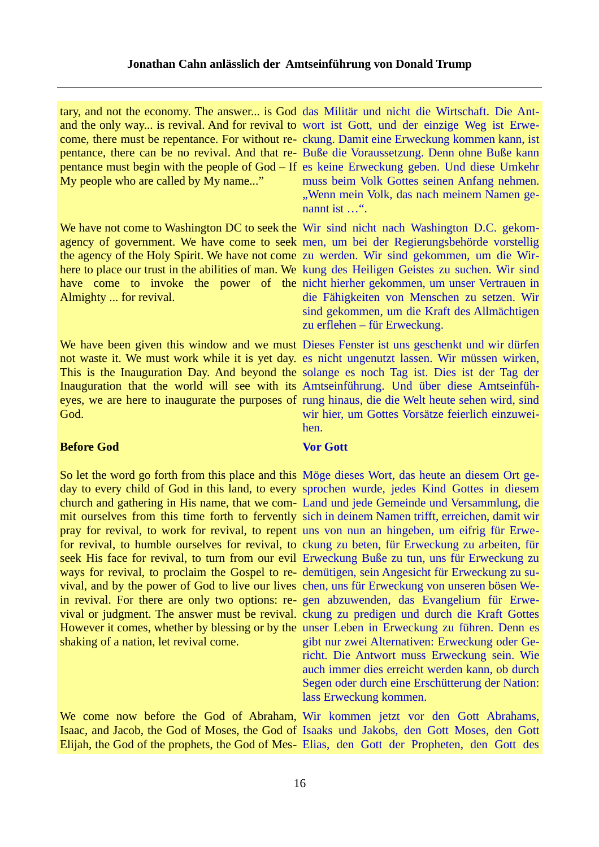tary, and not the economy. The answer... is God das Militär und nicht die Wirtschaft. Die Ant-My people who are called by My name..."

Almighty ... for revival.

not waste it. We must work while it is yet day. es nicht ungenutzt lassen. Wir müssen wirken, This is the Inauguration Day. And beyond the solange es noch Tag ist. Dies ist der Tag der Inauguration that the world will see with its Amtseinführung. Und über diese Amtseinfüheyes, we are here to inaugurate the purposes of rung hinaus, die die Welt heute sehen wird, sind God.

# **Before God**

So let the word go forth from this place and this Möge dieses Wort, das heute an diesem Ort geday to every child of God in this land, to every sprochen wurde, jedes Kind Gottes in diesem church and gathering in His name, that we com-Land und jede Gemeinde und Versammlung, die mit ourselves from this time forth to fervently sich in deinem Namen trifft, erreichen, damit wir pray for revival, to work for revival, to repent uns von nun an hingeben, um eifrig für Erwefor revival, to humble ourselves for revival, to ckung zu beten, für Erweckung zu arbeiten, für seek His face for revival, to turn from our evil Erweckung Buße zu tun, uns für Erweckung zu ways for revival, to proclaim the Gospel to re-demütigen, sein Angesicht für Erweckung zu suvival, and by the power of God to live our lives chen, uns für Erweckung von unseren bösen Wein revival. For there are only two options: re-gen abzuwenden, das Evangelium für Erwevival or judgment. The answer must be revival. ckung zu predigen und durch die Kraft Gottes However it comes, whether by blessing or by the unser Leben in Erweckung zu führen. Denn es shaking of a nation, let revival come.

and the only way... is revival. And for revival to wort ist Gott, und der einzige Weg ist Erwecome, there must be repentance. For without re-ckung. Damit eine Erweckung kommen kann, ist pentance, there can be no revival. And that re-Buße die Voraussetzung. Denn ohne Buße kann pentance must begin with the people of God – If es keine Erweckung geben. Und diese Umkehr muss beim Volk Gottes seinen Anfang nehmen. "Wenn mein Volk, das nach meinem Namen genannt ist …".

We have not come to Washington DC to seek the Wir sind nicht nach Washington D.C. gekomagency of government. We have come to seek men, um bei der Regierungsbehörde vorstellig the agency of the Holy Spirit. We have not come zu werden. Wir sind gekommen, um die Wirhere to place our trust in the abilities of man. We kung des Heiligen Geistes zu suchen. Wir sind have come to invoke the power of the nicht hierher gekommen, um unser Vertrauen in die Fähigkeiten von Menschen zu setzen. Wir sind gekommen, um die Kraft des Allmächtigen zu erflehen – für Erweckung.

We have been given this window and we must Dieses Fenster ist uns geschenkt und wir dürfen wir hier, um Gottes Vorsätze feierlich einzuweihen.

# **Vor Gott**

gibt nur zwei Alternativen: Erweckung oder Gericht. Die Antwort muss Erweckung sein. Wie auch immer dies erreicht werden kann, ob durch Segen oder durch eine Erschütterung der Nation: lass Erweckung kommen.

We come now before the God of Abraham, Wir kommen jetzt vor den Gott Abrahams, Isaac, and Jacob, the God of Moses, the God of Isaaks und Jakobs, den Gott Moses, den Gott Elijah, the God of the prophets, the God of Mes-Elias, den Gott der Propheten, den Gott des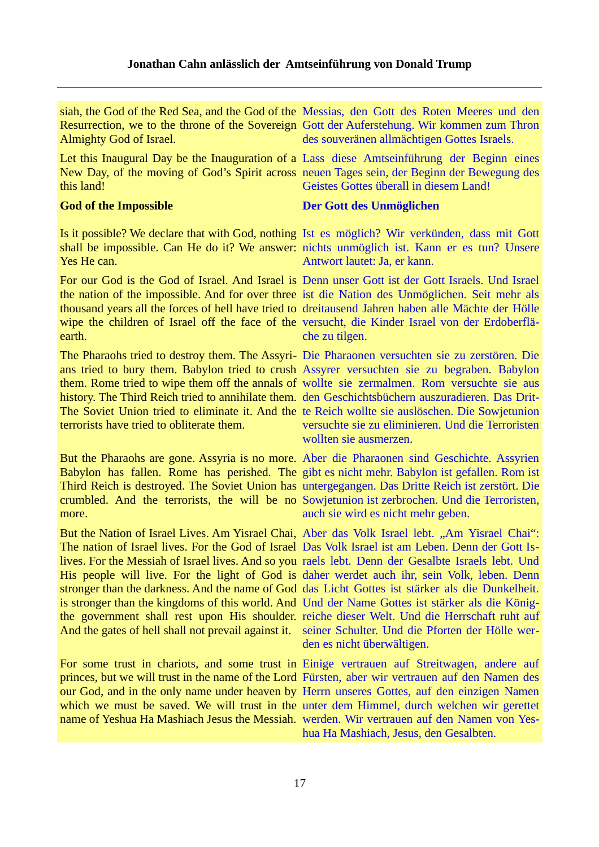Almighty God of Israel.

Let this Inaugural Day be the Inauguration of a Lass diese Amtseinführung der Beginn eines New Day, of the moving of God's Spirit across neuen Tages sein, der Beginn der Bewegung des this land!

# **God of the Impossible**

Is it possible? We declare that with God, nothing Ist es möglich? Wir verkünden, dass mit Gott shall be impossible. Can He do it? We answer: nichts unmöglich ist. Kann er es tun? Unsere Yes He can.

For our God is the God of Israel. And Israel is Denn unser Gott ist der Gott Israels. Und Israel the nation of the impossible. And for over three ist die Nation des Unmöglichen. Seit mehr als thousand years all the forces of hell have tried to dreitausend Jahren haben alle Mächte der Hölle wipe the children of Israel off the face of the versucht, die Kinder Israel von der Erdoberfläearth.

The Pharaohs tried to destroy them. The Assyri-Die Pharaonen versuchten sie zu zerstören. Die ans tried to bury them. Babylon tried to crush Assyrer versuchten sie zu begraben. Babylon them. Rome tried to wipe them off the annals of wollte sie zermalmen. Rom versuchte sie aus history. The Third Reich tried to annihilate them. den Geschichtsbüchern auszuradieren. Das Drit-The Soviet Union tried to eliminate it. And the te Reich wollte sie auslöschen. Die Sowjetunion terrorists have tried to obliterate them.

Babylon has fallen. Rome has perished. The gibt es nicht mehr. Babylon ist gefallen. Rom ist Third Reich is destroyed. The Soviet Union has untergegangen. Das Dritte Reich ist zerstört. Die crumbled. And the terrorists, the will be no Sowjetunion ist zerbrochen. Und die Terroristen, more.

The nation of Israel lives. For the God of Israel Das Volk Israel ist am Leben. Denn der Gott Islives. For the Messiah of Israel lives. And so you raels lebt. Denn der Gesalbte Israels lebt. Und His people will live. For the light of God is daher werdet auch ihr, sein Volk, leben. Denn stronger than the darkness. And the name of God das Licht Gottes ist stärker als die Dunkelheit. is stronger than the kingdoms of this world. And Und der Name Gottes ist stärker als die Königthe government shall rest upon His shoulder. reiche dieser Welt. Und die Herrschaft ruht auf And the gates of hell shall not prevail against it. seiner Schulter. Und die Pforten der Hölle wer-

For some trust in chariots, and some trust in Einige vertrauen auf Streitwagen, andere auf princes, but we will trust in the name of the Lord Fürsten, aber wir vertrauen auf den Namen des our God, and in the only name under heaven by Herrn unseres Gottes, auf den einzigen Namen which we must be saved. We will trust in the unter dem Himmel, durch welchen wir gerettet name of Yeshua Ha Mashiach Jesus the Messiah. werden. Wir vertrauen auf den Namen von Yes-

siah, the God of the Red Sea, and the God of the Messias, den Gott des Roten Meeres und den Resurrection, we to the throne of the Sovereign Gott der Auferstehung. Wir kommen zum Thron des souveränen allmächtigen Gottes Israels.

Geistes Gottes überall in diesem Land!

# **Der Gott des Unmöglichen**

Antwort lautet: Ja, er kann.

che zu tilgen.

versuchte sie zu eliminieren. Und die Terroristen wollten sie ausmerzen.

But the Pharaohs are gone. Assyria is no more. Aber die Pharaonen sind Geschichte. Assyrien auch sie wird es nicht mehr geben.

But the Nation of Israel Lives. Am Yisrael Chai, Aber das Volk Israel lebt. "Am Yisrael Chai": den es nicht überwältigen.

hua Ha Mashiach, Jesus, den Gesalbten.